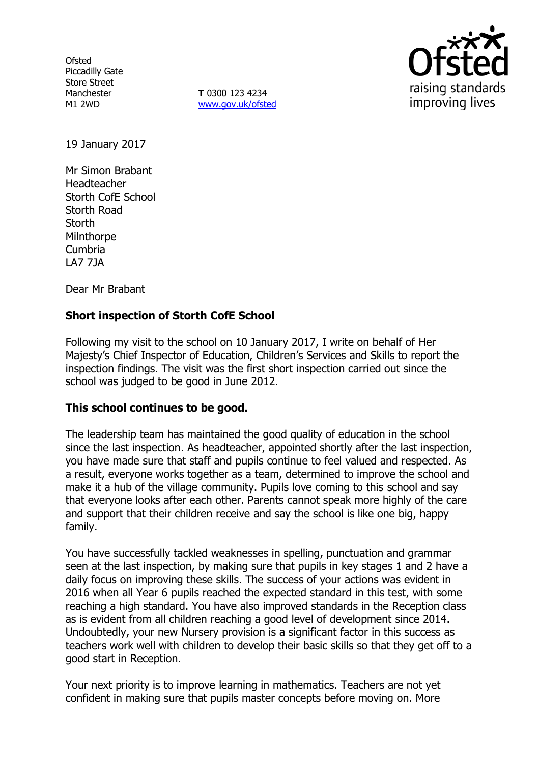**Ofsted** Piccadilly Gate Store Street Manchester M1 2WD

**T** 0300 123 4234 [www.gov.uk/ofsted](http://www.gov.uk/ofsted)



19 January 2017

Mr Simon Brabant Headteacher Storth CofE School Storth Road **Storth** Milnthorpe Cumbria LA7 7JA

Dear Mr Brabant

# **Short inspection of Storth CofE School**

Following my visit to the school on 10 January 2017, I write on behalf of Her Majesty's Chief Inspector of Education, Children's Services and Skills to report the inspection findings. The visit was the first short inspection carried out since the school was judged to be good in June 2012.

## **This school continues to be good.**

The leadership team has maintained the good quality of education in the school since the last inspection. As headteacher, appointed shortly after the last inspection, you have made sure that staff and pupils continue to feel valued and respected. As a result, everyone works together as a team, determined to improve the school and make it a hub of the village community. Pupils love coming to this school and say that everyone looks after each other. Parents cannot speak more highly of the care and support that their children receive and say the school is like one big, happy family.

You have successfully tackled weaknesses in spelling, punctuation and grammar seen at the last inspection, by making sure that pupils in key stages 1 and 2 have a daily focus on improving these skills. The success of your actions was evident in 2016 when all Year 6 pupils reached the expected standard in this test, with some reaching a high standard. You have also improved standards in the Reception class as is evident from all children reaching a good level of development since 2014. Undoubtedly, your new Nursery provision is a significant factor in this success as teachers work well with children to develop their basic skills so that they get off to a good start in Reception.

Your next priority is to improve learning in mathematics. Teachers are not yet confident in making sure that pupils master concepts before moving on. More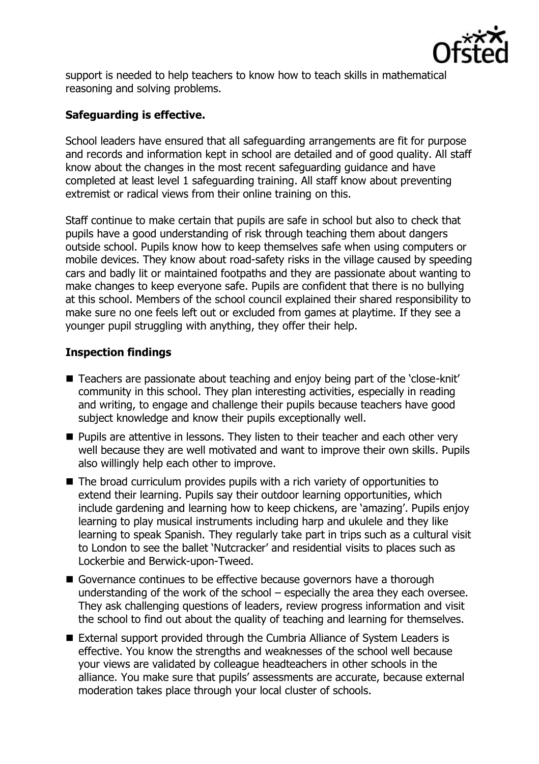

support is needed to help teachers to know how to teach skills in mathematical reasoning and solving problems.

# **Safeguarding is effective.**

School leaders have ensured that all safeguarding arrangements are fit for purpose and records and information kept in school are detailed and of good quality. All staff know about the changes in the most recent safeguarding guidance and have completed at least level 1 safeguarding training. All staff know about preventing extremist or radical views from their online training on this.

Staff continue to make certain that pupils are safe in school but also to check that pupils have a good understanding of risk through teaching them about dangers outside school. Pupils know how to keep themselves safe when using computers or mobile devices. They know about road-safety risks in the village caused by speeding cars and badly lit or maintained footpaths and they are passionate about wanting to make changes to keep everyone safe. Pupils are confident that there is no bullying at this school. Members of the school council explained their shared responsibility to make sure no one feels left out or excluded from games at playtime. If they see a younger pupil struggling with anything, they offer their help.

# **Inspection findings**

- Teachers are passionate about teaching and enjoy being part of the 'close-knit' community in this school. They plan interesting activities, especially in reading and writing, to engage and challenge their pupils because teachers have good subject knowledge and know their pupils exceptionally well.
- $\blacksquare$  Pupils are attentive in lessons. They listen to their teacher and each other very well because they are well motivated and want to improve their own skills. Pupils also willingly help each other to improve.
- The broad curriculum provides pupils with a rich variety of opportunities to extend their learning. Pupils say their outdoor learning opportunities, which include gardening and learning how to keep chickens, are 'amazing'. Pupils enjoy learning to play musical instruments including harp and ukulele and they like learning to speak Spanish. They regularly take part in trips such as a cultural visit to London to see the ballet 'Nutcracker' and residential visits to places such as Lockerbie and Berwick-upon-Tweed.
- Governance continues to be effective because governors have a thorough understanding of the work of the school – especially the area they each oversee. They ask challenging questions of leaders, review progress information and visit the school to find out about the quality of teaching and learning for themselves.
- External support provided through the Cumbria Alliance of System Leaders is effective. You know the strengths and weaknesses of the school well because your views are validated by colleague headteachers in other schools in the alliance. You make sure that pupils' assessments are accurate, because external moderation takes place through your local cluster of schools.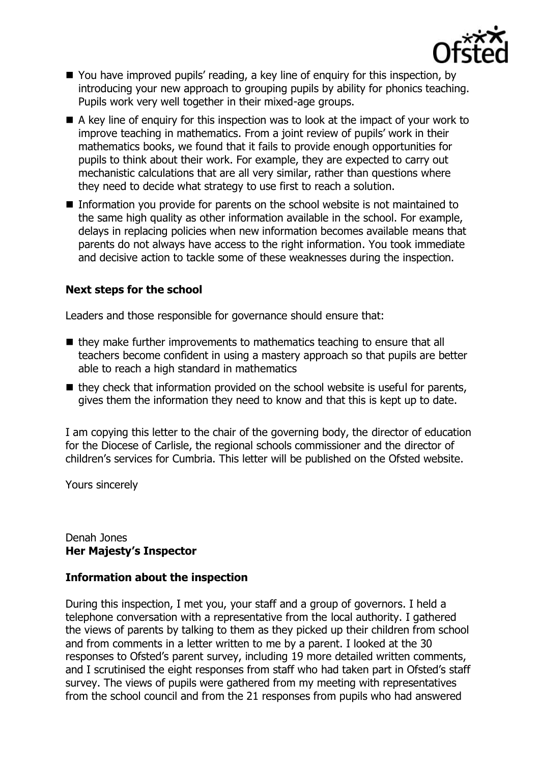

- You have improved pupils' reading, a key line of enquiry for this inspection, by introducing your new approach to grouping pupils by ability for phonics teaching. Pupils work very well together in their mixed-age groups.
- $\blacksquare$  A key line of enquiry for this inspection was to look at the impact of your work to improve teaching in mathematics. From a joint review of pupils' work in their mathematics books, we found that it fails to provide enough opportunities for pupils to think about their work. For example, they are expected to carry out mechanistic calculations that are all very similar, rather than questions where they need to decide what strategy to use first to reach a solution.
- Information you provide for parents on the school website is not maintained to the same high quality as other information available in the school. For example, delays in replacing policies when new information becomes available means that parents do not always have access to the right information. You took immediate and decisive action to tackle some of these weaknesses during the inspection.

## **Next steps for the school**

Leaders and those responsible for governance should ensure that:

- they make further improvements to mathematics teaching to ensure that all teachers become confident in using a mastery approach so that pupils are better able to reach a high standard in mathematics
- $\blacksquare$  they check that information provided on the school website is useful for parents, gives them the information they need to know and that this is kept up to date.

I am copying this letter to the chair of the governing body, the director of education for the Diocese of Carlisle, the regional schools commissioner and the director of children's services for Cumbria. This letter will be published on the Ofsted website.

Yours sincerely

#### Denah Jones **Her Majesty's Inspector**

## **Information about the inspection**

During this inspection, I met you, your staff and a group of governors. I held a telephone conversation with a representative from the local authority. I gathered the views of parents by talking to them as they picked up their children from school and from comments in a letter written to me by a parent. I looked at the 30 responses to Ofsted's parent survey, including 19 more detailed written comments, and I scrutinised the eight responses from staff who had taken part in Ofsted's staff survey. The views of pupils were gathered from my meeting with representatives from the school council and from the 21 responses from pupils who had answered